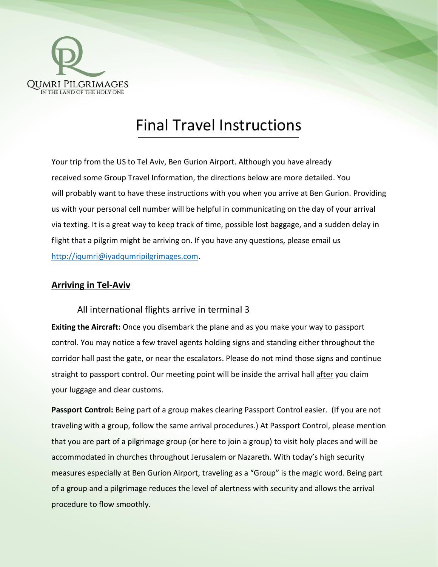

# Final Travel Instructions

Your trip from the US to Tel Aviv, Ben Gurion Airport. Although you have already received some Group Travel Information, the directions below are more detailed. You will probably want to have these instructions with you when you arrive at Ben Gurion. Providing us with your personal cell number will be helpful in communicating on the day of your arrival via texting. It is a great way to keep track of time, possible lost baggage, and a sudden delay in flight that a pilgrim might be arriving on. If you have any questions, please email us [http://iqumri@iyadqumripilgrimages.com.](http://iqumri@iyadqumripilgrimages.com)

#### **Arriving in Tel-Aviv**

#### All international flights arrive in terminal 3

**Exiting the Aircraft:** Once you disembark the plane and as you make your way to passport control. You may notice a few travel agents holding signs and standing either throughout the corridor hall past the gate, or near the escalators. Please do not mind those signs and continue straight to passport control. Our meeting point will be inside the arrival hall after you claim your luggage and clear customs.

**Passport Control:** Being part of a group makes clearing Passport Control easier. (If you are not traveling with a group, follow the same arrival procedures.) At Passport Control, please mention that you are part of a pilgrimage group (or here to join a group) to visit holy places and will be accommodated in churches throughout Jerusalem or Nazareth. With today's high security measures especially at Ben Gurion Airport, traveling as a "Group" is the magic word. Being part of a group and a pilgrimage reduces the level of alertness with security and allows the arrival procedure to flow smoothly.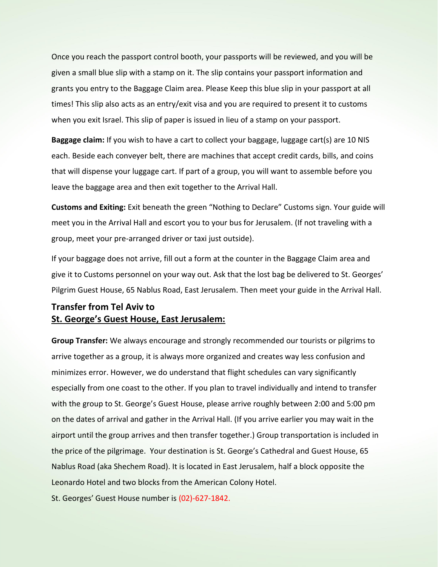Once you reach the passport control booth, your passports will be reviewed, and you will be given a small blue slip with a stamp on it. The slip contains your passport information and grants you entry to the Baggage Claim area. Please Keep this blue slip in your passport at all times! This slip also acts as an entry/exit visa and you are required to present it to customs when you exit Israel. This slip of paper is issued in lieu of a stamp on your passport.

**Baggage claim:** If you wish to have a cart to collect your baggage, luggage cart(s) are 10 NIS each. Beside each conveyer belt, there are machines that accept credit cards, bills, and coins that will dispense your luggage cart. If part of a group, you will want to assemble before you leave the baggage area and then exit together to the Arrival Hall.

**Customs and Exiting:** Exit beneath the green "Nothing to Declare" Customs sign. Your guide will meet you in the Arrival Hall and escort you to your bus for Jerusalem. (If not traveling with a group, meet your pre-arranged driver or taxi just outside).

If your baggage does not arrive, fill out a form at the counter in the Baggage Claim area and give it to Customs personnel on your way out. Ask that the lost bag be delivered to St. Georges' Pilgrim Guest House, 65 Nablus Road, East Jerusalem. Then meet your guide in the Arrival Hall.

### **Transfer from Tel Aviv to St. George's Guest House, East Jerusalem:**

**Group Transfer:** We always encourage and strongly recommended our tourists or pilgrims to arrive together as a group, it is always more organized and creates way less confusion and minimizes error. However, we do understand that flight schedules can vary significantly especially from one coast to the other. If you plan to travel individually and intend to transfer with the group to St. George's Guest House, please arrive roughly between 2:00 and 5:00 pm on the dates of arrival and gather in the Arrival Hall. (If you arrive earlier you may wait in the airport until the group arrives and then transfer together.) Group transportation is included in the price of the pilgrimage. Your destination is St. George's Cathedral and Guest House, 65 Nablus Road (aka Shechem Road). It is located in East Jerusalem, half a block opposite the Leonardo Hotel and two blocks from the American Colony Hotel.

St. Georges' Guest House number is (02)-627-1842.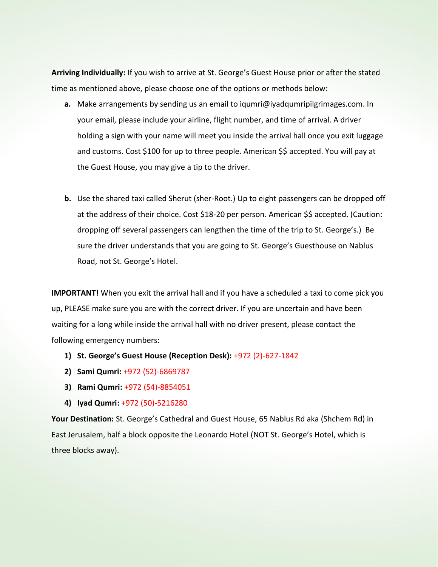**Arriving Individually:** If you wish to arrive at St. George's Guest House prior or after the stated time as mentioned above, please choose one of the options or methods below:

- **a.** Make arrangements by sending us an email to iqumri@iyadqumripilgrimages.com. In your email, please include your airline, flight number, and time of arrival. A driver holding a sign with your name will meet you inside the arrival hall once you exit luggage and customs. Cost \$100 for up to three people. American \$\$ accepted. You will pay at the Guest House, you may give a tip to the driver.
- **b.** Use the shared taxi called Sherut (sher-Root.) Up to eight passengers can be dropped off at the address of their choice. Cost \$18-20 per person. American \$\$ accepted. (Caution: dropping off several passengers can lengthen the time of the trip to St. George's.) Be sure the driver understands that you are going to St. George's Guesthouse on Nablus Road, not St. George's Hotel.

**IMPORTANT!** When you exit the arrival hall and if you have a scheduled a taxi to come pick you up, PLEASE make sure you are with the correct driver. If you are uncertain and have been waiting for a long while inside the arrival hall with no driver present, please contact the following emergency numbers:

- **1) St. George's Guest House (Reception Desk):** +972 (2)-627-1842
- **2) Sami Qumri:** +972 (52)-6869787
- **3) Rami Qumri:** +972 (54)-8854051
- **4) Iyad Qumri:** +972 (50)-5216280

**Your Destination:** St. George's Cathedral and Guest House, 65 Nablus Rd aka (Shchem Rd) in East Jerusalem, half a block opposite the Leonardo Hotel (NOT St. George's Hotel, which is three blocks away).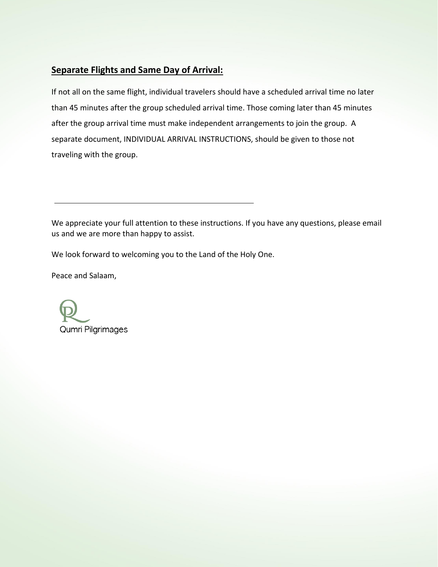## **Separate Flights and Same Day of Arrival:**

If not all on the same flight, individual travelers should have a scheduled arrival time no later than 45 minutes after the group scheduled arrival time. Those coming later than 45 minutes after the group arrival time must make independent arrangements to join the group. A separate document, INDIVIDUAL ARRIVAL INSTRUCTIONS, should be given to those not traveling with the group.

We appreciate your full attention to these instructions. If you have any questions, please email us and we are more than happy to assist.

We look forward to welcoming you to the Land of the Holy One.

Peace and Salaam,